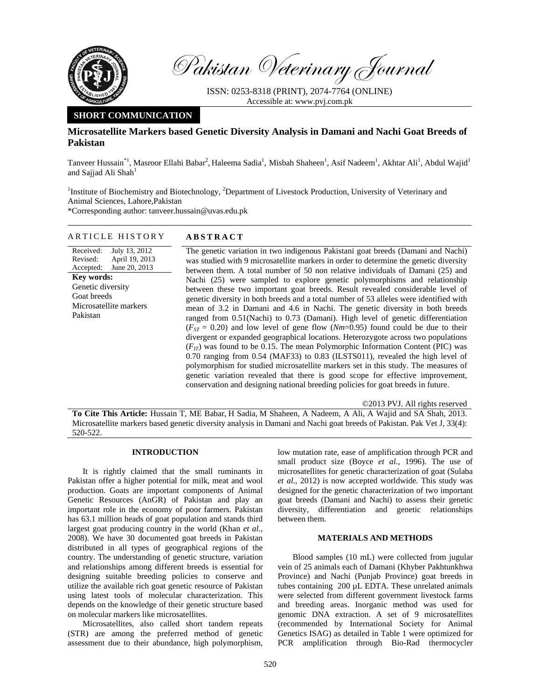

Pakistan Veterinary Journal

ISSN: 0253-8318 (PRINT), 2074-7764 (ONLINE) Accessible at: www.pvj.com.pk

# **SHORT COMMUNICATION**

## **Microsatellite Markers based Genetic Diversity Analysis in Damani and Nachi Goat Breeds of Pakistan**

Tanveer Hussain<sup>\*1</sup>, Masroor Ellahi Babar<sup>2</sup>, Haleema Sadia<sup>1</sup>, Misbah Shaheen<sup>1</sup>, Asif Nadeem<sup>1</sup>, Akhtar Ali<sup>1</sup>, Abdul Wajid<sup>1</sup> and Sajjad Ali Shah<sup>1</sup>

<sup>1</sup>Institute of Biochemistry and Biotechnology, <sup>2</sup>Department of Livestock Production, University of Veterinary and Animal Sciences, Lahore,Pakistan

\*Corresponding author: tanveer.hussain@uvas.edu.pk

## ARTICLE HISTORY **ABSTRACT**

Received: Revised: Accepted: July 13, 2012 April 19, 2013 June 20, 2013 **Key words:**  Genetic diversity Goat breeds Microsatellite markers Pakistan

 The genetic variation in two indigenous Pakistani goat breeds (Damani and Nachi) was studied with 9 microsatellite markers in order to determine the genetic diversity between them. A total number of 50 non relative individuals of Damani (25) and Nachi (25) were sampled to explore genetic polymorphisms and relationship between these two important goat breeds. Result revealed considerable level of genetic diversity in both breeds and a total number of 53 alleles were identified with mean of 3.2 in Damani and 4.6 in Nachi. The genetic diversity in both breeds ranged from 0.51(Nachi) to 0.73 (Damani). High level of genetic differentiation  $(F_{ST} = 0.20)$  and low level of gene flow (*Nm*=0.95) found could be due to their divergent or expanded geographical locations. Heterozygote across two populations  $(F_{IT})$  was found to be 0.15. The mean Polymorphic Information Content (PIC) was 0.70 ranging from 0.54 (MAF33) to 0.83 (ILSTS011), revealed the high level of polymorphism for studied microsatellite markers set in this study. The measures of genetic variation revealed that there is good scope for effective improvement, conservation and designing national breeding policies for goat breeds in future.

©2013 PVJ. All rights reserved

**To Cite This Article:** Hussain T, ME Babar, H Sadia, M Shaheen, A Nadeem, A Ali, A Wajid and SA Shah, 2013. Microsatellite markers based genetic diversity analysis in Damani and Nachi goat breeds of Pakistan. Pak Vet J, 33(4): 520-522.

## **INTRODUCTION**

It is rightly claimed that the small ruminants in Pakistan offer a higher potential for milk, meat and wool production. Goats are important components of Animal Genetic Resources (AnGR) of Pakistan and play an important role in the economy of poor farmers. Pakistan has 63.1 million heads of goat population and stands third largest goat producing country in the world (Khan *et al.,* 2008). We have 30 documented goat breeds in Pakistan distributed in all types of geographical regions of the country. The understanding of genetic structure, variation and relationships among different breeds is essential for designing suitable breeding policies to conserve and utilize the available rich goat genetic resource of Pakistan using latest tools of molecular characterization. This depends on the knowledge of their genetic structure based on molecular markers like microsatellites.

Microsatellites, also called short tandem repeats (STR) are among the preferred method of genetic assessment due to their abundance, high polymorphism, low mutation rate, ease of amplification through PCR and small product size (Boyce *et al.,* 1996). The use of microsatellites for genetic characterization of goat (Sulaba *et al.,* 2012) is now accepted worldwide. This study was designed for the genetic characterization of two important goat breeds (Damani and Nachi) to assess their genetic diversity, differentiation and genetic relationships between them.

## **MATERIALS AND METHODS**

Blood samples (10 mL) were collected from jugular vein of 25 animals each of Damani (Khyber Pakhtunkhwa Province) and Nachi (Punjab Province) goat breeds in tubes containing 200 µL EDTA. These unrelated animals were selected from different government livestock farms and breeding areas. Inorganic method was used for genomic DNA extraction. A set of 9 microsatellites (recommended by International Society for Animal Genetics ISAG) as detailed in Table 1 were optimized for PCR amplification through Bio-Rad thermocycler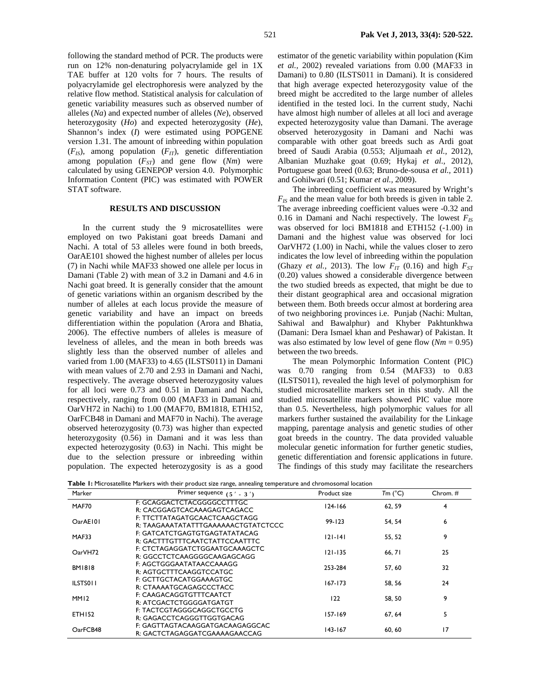following the standard method of PCR. The products were run on 12% non-denaturing polyacrylamide gel in 1X TAE buffer at 120 volts for 7 hours. The results of polyacrylamide gel electrophoresis were analyzed by the relative flow method. Statistical analysis for calculation of genetic variability measures such as observed number of alleles (*Na*) and expected number of alleles (*Ne*), observed heterozygosity (*Ho*) and expected heterozygosity (*He*), Shannon's index (*I*) were estimated using POPGENE version 1.31. The amount of inbreeding within population  $(F_{IS})$ , among population  $(F_{IT})$ , genetic differentiation among population  $(F_{ST})$  and gene flow  $(Nm)$  were calculated by using GENEPOP version 4.0. Polymorphic Information Content (PIC) was estimated with POWER STAT software.

### **RESULTS AND DISCUSSION**

In the current study the 9 microsatellites were employed on two Pakistani goat breeds Damani and Nachi. A total of 53 alleles were found in both breeds, OarAE101 showed the highest number of alleles per locus (7) in Nachi while MAF33 showed one allele per locus in Damani (Table 2) with mean of 3.2 in Damani and 4.6 in Nachi goat breed. It is generally consider that the amount of genetic variations within an organism described by the number of alleles at each locus provide the measure of genetic variability and have an impact on breeds differentiation within the population (Arora and Bhatia, 2006). The effective numbers of alleles is measure of levelness of alleles, and the mean in both breeds was slightly less than the observed number of alleles and varied from 1.00 (MAF33) to 4.65 (ILSTS011) in Damani with mean values of 2.70 and 2.93 in Damani and Nachi, respectively. The average observed heterozygosity values for all loci were 0.73 and 0.51 in Damani and Nachi, respectively, ranging from 0.00 (MAF33 in Damani and OarVH72 in Nachi) to 1.00 (MAF70, BM1818, ETH152, OarFCB48 in Damani and MAF70 in Nachi). The average observed heterozygosity (0.73) was higher than expected heterozygosity (0.56) in Damani and it was less than expected heterozygosity (0.63) in Nachi. This might be due to the selection pressure or inbreeding within population. The expected heterozygosity is as a good

estimator of the genetic variability within population (Kim *et al.,* 2002) revealed variations from 0.00 (MAF33 in Damani) to 0.80 (ILSTS011 in Damani). It is considered that high average expected heterozygosity value of the breed might be accredited to the large number of alleles identified in the tested loci. In the current study, Nachi have almost high number of alleles at all loci and average expected heterozygosity value than Damani. The average observed heterozygosity in Damani and Nachi was comparable with other goat breeds such as Ardi goat breed of Saudi Arabia (0.553; Aljumaah *et al.,* 2012), Albanian Muzhake goat (0.69; Hykaj *et al.,* 2012), Portuguese goat breed (0.63; Bruno-de-sousa *et al.,* 2011) and Gohilwari (0.51; Kumar *et al.,* 2009).

The inbreeding coefficient was measured by Wright's  $F_{IS}$  and the mean value for both breeds is given in table 2. The average inbreeding coefficient values were -0.32 and 0.16 in Damani and Nachi respectively. The lowest  $F_{IS}$ was observed for loci BM1818 and ETH152 (-1.00) in Damani and the highest value was observed for loci OarVH72 (1.00) in Nachi, while the values closer to zero indicates the low level of inbreeding within the population (Ghazy *et al.,* 2013). The low  $F_{IT}$  (0.16) and high  $F_{ST}$ (0.20) values showed a considerable divergence between the two studied breeds as expected, that might be due to their distant geographical area and occasional migration between them. Both breeds occur almost at bordering area of two neighboring provinces i.e. Punjab (Nachi: Multan, Sahiwal and Bawalphur) and Khyber Pakhtunkhwa (Damani: Dera Ismael khan and Peshawar) of Pakistan. It was also estimated by low level of gene flow  $(Nm = 0.95)$ between the two breeds.

The mean Polymorphic Information Content (PIC) was 0.70 ranging from 0.54 (MAF33) to 0.83 (ILSTS011), revealed the high level of polymorphism for studied microsatellite markers set in this study. All the studied microsatellite markers showed PIC value more than 0.5. Nevertheless, high polymorphic values for all markers further sustained the availability for the Linkage mapping, parentage analysis and genetic studies of other goat breeds in the country. The data provided valuable molecular genetic information for further genetic studies, genetic differentiation and forensic applications in future. The findings of this study may facilitate the researchers

**Table 1:** Microsatellite Markers with their product size range, annealing temperature and chromosomal location

| Marker           | Primer sequence $(5' - 3')$                                          | Product size | Tm (°C) | Chrom. # |  |
|------------------|----------------------------------------------------------------------|--------------|---------|----------|--|
| MAF70            | F: GCAGGACTCTACGGGGCCTTTGC<br>R: CACGGAGTCACAAAGAGTCAGACC            | $124 - 166$  | 62, 59  | 4        |  |
| OarAE101         | F: TTCTTATAGATGCAACTCAAGCTAGG<br>R: TAAGAAATATATTTGAAAAAACTGTATCTCCC | $99 - 123$   | 54, 54  | 6        |  |
| MAF33            | F: GATCATCTGAGTGTGAGTATATACAG<br>R: GACTTTGTTTCAATCTATTCCAATTTC      | $121 - 141$  | 55, 52  | 9        |  |
| OarVH72          | F: CTCTAGAGGATCTGGAATGCAAAGCTC<br>R: GGCCTCTCAAGGGGCAAGAGCAGG        | $121 - 135$  | 66, 71  | 25       |  |
| <b>BM1818</b>    | F: AGCTGGGAATATAACCAAAGG<br>R: AGTGCTTTCAAGGTCCATGC                  | 253-284      | 57, 60  | 32       |  |
| ILSTS011         | F: GCTTGCTACATGGAAAGTGC<br>R: CTAAAATGCAGAGCCCTACC                   | $167 - 173$  | 58, 56  | 24       |  |
| MM <sub>12</sub> | F: CAAGACAGGTGTTTCAATCT<br>R: ATCGACTCTGGGGATGATGT                   | 122          | 58, 50  | 9        |  |
| <b>ETH152</b>    | F: TACTCGTAGGGCAGGCTGCCTG<br>R: GAGACCTCAGGGTTGGTGACAG               | 157-169      | 67, 64  | 5        |  |
| OarFCB48         | F: GAGTTAGTACAAGGATGACAAGAGGCAC<br>R: GACTCTAGAGGATCGAAAAGAACCAG     | $143 - 167$  | 60, 60  | 17       |  |